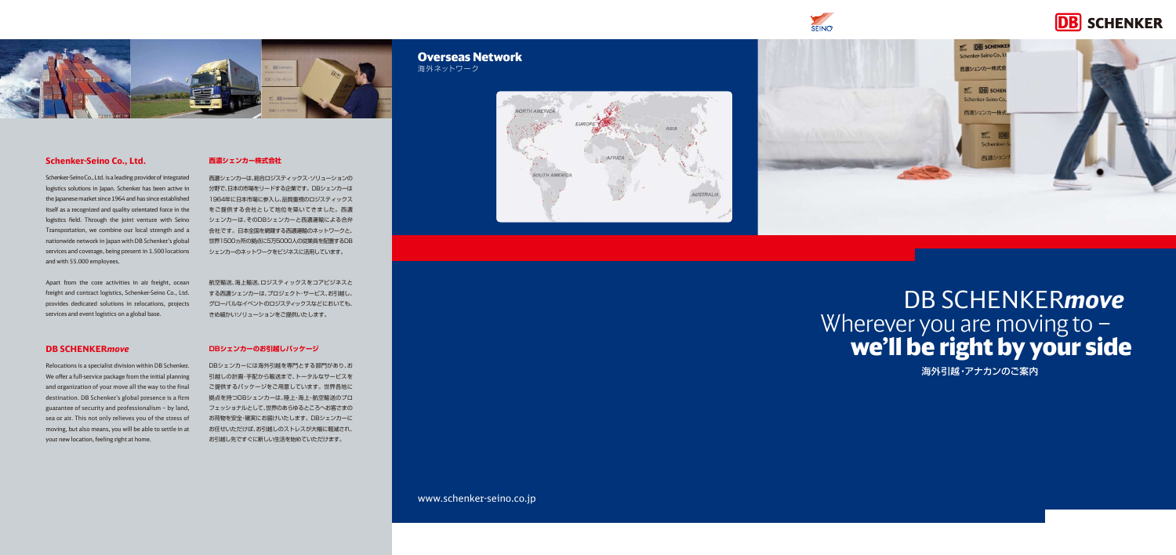# DB SCHENKER*move* Wherever you are moving to we'll be right by your side



# **Schenker-Seino Co., Ltd.**

Schenker-Seino Co., Ltd. is a leading provider of integrated logistics solutions in Japan. Schenker has been active in the Japanese market since 1964 and has since established itself as a recognized and quality orientated force in the logistics field. Through the joint venture with Seino Transportation, we combine our local strength and a nationwide network in Japan with DB Schenker's global services and coverage, being present in 1.500 locations and with 55.000 employees.

Apart from the core activities in air freight, ocean freight and contract logistics, Schenker-Seino Co., Ltd. provides dedicated solutions in relocations, projects services and event logistics on a global base.

## **DB SCHENKER***move*

# Overseas Network 海外ネットワーク

**ORTH AMERICA** 

Relocations is a specialist division within DB Schenker. We offer a full-service package from the initial planning and organization of your move all the way to the final destination. DB Schenker's global presence is a firm guarantee of security and professionalism – by land, sea or air. This not only relieves you of the stress of moving, but also means, you will be able to settle in at your new location, feeling right at home.

# **西濃シェンカー株式会社**

西濃シェンカーは、総合ロジスティックス・ソリューションの 分野で、日本の市場をリードする企業です。DBシェンカーは 1964年に日本市場に参入し、品質重視のロジスティックス をご提供する会社として地位を築いてきました。西濃 シェンカーは、そのDBシェンカーと西濃運輸による合弁 会社です。日本全国を網羅する西濃運輸のネットワークと、 世界1500ヵ所の拠点に5万5000人の従業員を配置するDB シェンカーのネットワークをビジネスに活用しています。

航空輸送、海上輸送、ロジスティックスをコアビジネスと する西濃シェンカーは、プロジェクト・サービス、お引越し、 グローバルなイベントのロジスティックスなどにおいても、 きめ細かいソリューションをご提供いたします。

## **DBシェンカーのお引越しパッケージ**

DBシェンカーには海外引越を専門とする部門があり、お 引越しの計画・手配から輸送まで、トータルなサービスを ご提供するパッケージをご用意しています。世界各地に 拠点を持つDBシェンカーは、陸上・海上・航空輸送のプロ フェッショナルとして、世界のあらゆるところへお客さまの お荷物を安全・確実にお届けいたします。DBシェンカーに お任せいただけば、お引越しのストレスが大幅に軽減され、 お引越し先ですぐに新しい生活を始めていただけます。

海外引越・アナカンのご案内

www.schenker-seino.co.jp